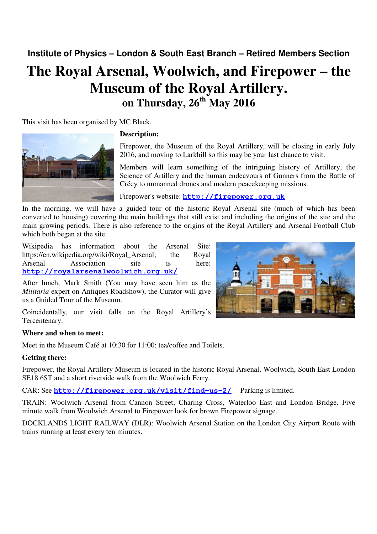**Institute of Physics – London & South East Branch – Retired Members Section** 

# **The Royal Arsenal, Woolwich, and Firepower – the Museum of the Royal Artillery. on Thursday, 26th May 2016**

This visit has been organised by MC Black.



# **Description:**

Firepower, the Museum of the Royal Artillery, will be closing in early July 2016, and moving to Larkhill so this may be your last chance to visit.

Members will learn something of the intriguing history of Artillery, the Science of Artillery and the human endeavours of Gunners from the Battle of Crécy to unmanned drones and modern peacekeeping missions.

Firepower's website: **http://firepower.org.uk**

In the morning, we will have a guided tour of the historic Royal Arsenal site (much of which has been converted to housing) covering the main buildings that still exist and including the origins of the site and the main growing periods. There is also reference to the origins of the Royal Artillery and Arsenal Football Club which both began at the site.

Wikipedia has information about the Arsenal Site: https://en.wikipedia.org/wiki/Royal\_Arsenal; the Royal Arsenal Association site is here: **http://royalarsenalwoolwich.org.uk/**

After lunch, Mark Smith (You may have seen him as the *Militaria* expert on Antiques Roadshow), the Curator will give us a Guided Tour of the Museum.

Coincidentally, our visit falls on the Royal Artillery's Tercentenary.

# **Where and when to meet:**

Meet in the Museum Café at 10:30 for 11:00; tea/coffee and Toilets.

# **Getting there:**

Firepower, the Royal Artillery Museum is located in the historic Royal Arsenal, Woolwich, South East London SE18 6ST and a short riverside walk from the Woolwich Ferry.

# CAR: See **http://firepower.org.uk/visit/find-us-2/** Parking is limited.

TRAIN: Woolwich Arsenal from Cannon Street, Charing Cross, Waterloo East and London Bridge. Five minute walk from Woolwich Arsenal to Firepower look for brown Firepower signage.

DOCKLANDS LIGHT RAILWAY (DLR): Woolwich Arsenal Station on the London City Airport Route with trains running at least every ten minutes.